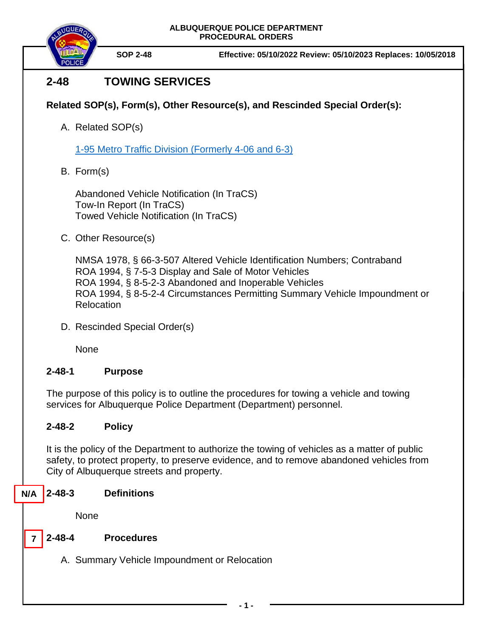

**SOP 2-48 Effective: 05/10/2022 Review: 05/10/2023 Replaces: 10/05/2018**

# **2-48 TOWING SERVICES**

## **Related SOP(s), Form(s), Other Resource(s), and Rescinded Special Order(s):**

A. Related SOP(s)

[1-95 Metro Traffic Division \(Formerly 4-06 and 6-3\)](https://powerdms.com/docs/225?q=1-95)

B. Form(s)

Abandoned Vehicle Notification (In TraCS) Tow-In Report (In TraCS) Towed Vehicle Notification (In TraCS)

C. Other Resource(s)

NMSA 1978, § 66-3-507 Altered Vehicle Identification Numbers; Contraband ROA 1994, § 7-5-3 Display and Sale of Motor Vehicles ROA 1994, § 8-5-2-3 Abandoned and Inoperable Vehicles ROA 1994, § 8-5-2-4 Circumstances Permitting Summary Vehicle Impoundment or Relocation

D. Rescinded Special Order(s)

None

### **2-48-1 Purpose**

The purpose of this policy is to outline the procedures for towing a vehicle and towing services for Albuquerque Police Department (Department) personnel.

### **2-48-2 Policy**

It is the policy of the Department to authorize the towing of vehicles as a matter of public safety, to protect property, to preserve evidence, and to remove abandoned vehicles from City of Albuquerque streets and property.

#### **2-48-3 Definitions N/A**

None

**7**

### **2-48-4 Procedures**

A. Summary Vehicle Impoundment or Relocation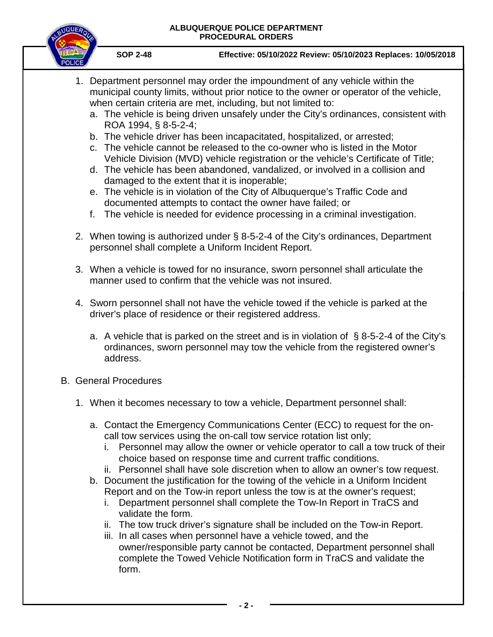

**SOP 2-48 Effective: 05/10/2022 Review: 05/10/2023 Replaces: 10/05/2018**

- 1. Department personnel may order the impoundment of any vehicle within the municipal county limits, without prior notice to the owner or operator of the vehicle, when certain criteria are met, including, but not limited to:
	- a. The vehicle is being driven unsafely under the City's ordinances, consistent with ROA 1994, § 8-5-2-4;
	- b. The vehicle driver has been incapacitated, hospitalized, or arrested;
	- c. The vehicle cannot be released to the co-owner who is listed in the Motor Vehicle Division (MVD) vehicle registration or the vehicle's Certificate of Title;
	- d. The vehicle has been abandoned, vandalized, or involved in a collision and damaged to the extent that it is inoperable;
	- e. The vehicle is in violation of the City of Albuquerque's Traffic Code and documented attempts to contact the owner have failed; or
	- f. The vehicle is needed for evidence processing in a criminal investigation.
- 2. When towing is authorized under § 8-5-2-4 of the City's ordinances, Department personnel shall complete a Uniform Incident Report.
- 3. When a vehicle is towed for no insurance, sworn personnel shall articulate the manner used to confirm that the vehicle was not insured.
- 4. Sworn personnel shall not have the vehicle towed if the vehicle is parked at the driver's place of residence or their registered address.
	- a. A vehicle that is parked on the street and is in violation of  $\S$  8-5-2-4 of the City's ordinances, sworn personnel may tow the vehicle from the registered owner's address.
- B. General Procedures
	- 1. When it becomes necessary to tow a vehicle, Department personnel shall:
		- a. Contact the Emergency Communications Center (ECC) to request for the oncall tow services using the on-call tow service rotation list only;
			- i. Personnel may allow the owner or vehicle operator to call a tow truck of their choice based on response time and current traffic conditions.
			- ii. Personnel shall have sole discretion when to allow an owner's tow request.
		- b. Document the justification for the towing of the vehicle in a Uniform Incident Report and on the Tow-in report unless the tow is at the owner's request;
			- i. Department personnel shall complete the Tow-In Report in TraCS and validate the form.
			- ii. The tow truck driver's signature shall be included on the Tow-in Report.
			- iii. In all cases when personnel have a vehicle towed, and the owner/responsible party cannot be contacted, Department personnel shall complete the Towed Vehicle Notification form in TraCS and validate the form.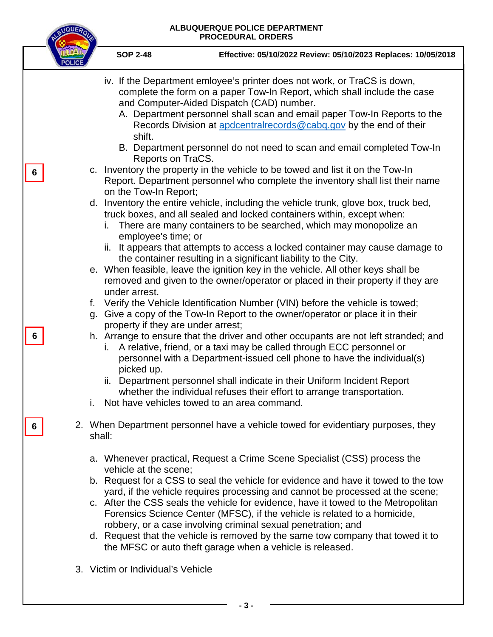NBUQUEROU

|  | <b>SOP 2-48</b><br>Effective: 05/10/2022 Review: 05/10/2023 Replaces: 10/05/2018                                                                                                                                                                                                                                                                                                                                                                                                                                                                                                                                                                                                                                                                                                                                                                                                          |
|--|-------------------------------------------------------------------------------------------------------------------------------------------------------------------------------------------------------------------------------------------------------------------------------------------------------------------------------------------------------------------------------------------------------------------------------------------------------------------------------------------------------------------------------------------------------------------------------------------------------------------------------------------------------------------------------------------------------------------------------------------------------------------------------------------------------------------------------------------------------------------------------------------|
|  | iv. If the Department emloyee's printer does not work, or TraCS is down,<br>complete the form on a paper Tow-In Report, which shall include the case<br>and Computer-Aided Dispatch (CAD) number.<br>A. Department personnel shall scan and email paper Tow-In Reports to the<br>Records Division at apdcentralrecords@cabq.gov by the end of their<br>shift.<br>B. Department personnel do not need to scan and email completed Tow-In<br>Reports on TraCS.                                                                                                                                                                                                                                                                                                                                                                                                                              |
|  | c. Inventory the property in the vehicle to be towed and list it on the Tow-In<br>Report. Department personnel who complete the inventory shall list their name<br>on the Tow-In Report;<br>d. Inventory the entire vehicle, including the vehicle trunk, glove box, truck bed,<br>truck boxes, and all sealed and locked containers within, except when:<br>There are many containers to be searched, which may monopolize an<br>İ.<br>employee's time; or<br>ii. It appears that attempts to access a locked container may cause damage to<br>the container resulting in a significant liability to the City.<br>e. When feasible, leave the ignition key in the vehicle. All other keys shall be<br>removed and given to the owner/operator or placed in their property if they are<br>under arrest.<br>f. Verify the Vehicle Identification Number (VIN) before the vehicle is towed; |
|  | g. Give a copy of the Tow-In Report to the owner/operator or place it in their<br>property if they are under arrest;<br>h. Arrange to ensure that the driver and other occupants are not left stranded; and<br>i. A relative, friend, or a taxi may be called through ECC personnel or<br>personnel with a Department-issued cell phone to have the individual(s)<br>picked up.<br>ii. Department personnel shall indicate in their Uniform Incident Report<br>whether the individual refuses their effort to arrange transportation.<br>Not have vehicles towed to an area command.                                                                                                                                                                                                                                                                                                      |
|  | 2. When Department personnel have a vehicle towed for evidentiary purposes, they<br>shall:<br>a. Whenever practical, Request a Crime Scene Specialist (CSS) process the<br>vehicle at the scene;<br>b. Request for a CSS to seal the vehicle for evidence and have it towed to the tow<br>yard, if the vehicle requires processing and cannot be processed at the scene;<br>c. After the CSS seals the vehicle for evidence, have it towed to the Metropolitan<br>Forensics Science Center (MFSC), if the vehicle is related to a homicide,<br>robbery, or a case involving criminal sexual penetration; and<br>d. Request that the vehicle is removed by the same tow company that towed it to<br>the MFSC or auto theft garage when a vehicle is released.<br>3. Victim or Individual's Vehicle                                                                                         |
|  |                                                                                                                                                                                                                                                                                                                                                                                                                                                                                                                                                                                                                                                                                                                                                                                                                                                                                           |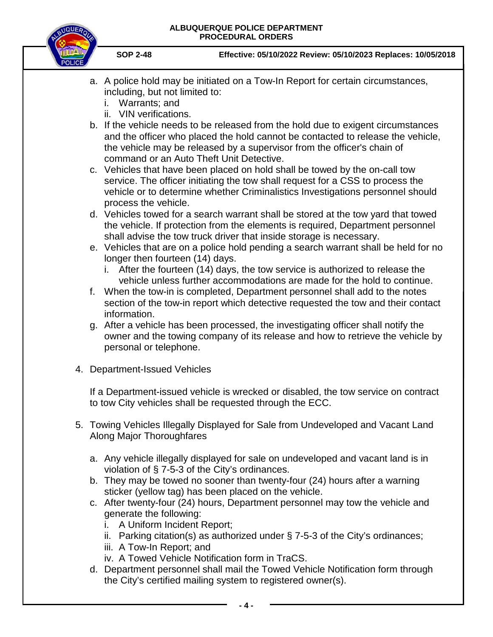

**SOP 2-48 Effective: 05/10/2022 Review: 05/10/2023 Replaces: 10/05/2018**

- a. A police hold may be initiated on a Tow-In Report for certain circumstances, including, but not limited to:
	- i. Warrants; and
	- ii. VIN verifications.
- b. If the vehicle needs to be released from the hold due to exigent circumstances and the officer who placed the hold cannot be contacted to release the vehicle, the vehicle may be released by a supervisor from the officer's chain of command or an Auto Theft Unit Detective.
- c. Vehicles that have been placed on hold shall be towed by the on-call tow service. The officer initiating the tow shall request for a CSS to process the vehicle or to determine whether Criminalistics Investigations personnel should process the vehicle.
- d. Vehicles towed for a search warrant shall be stored at the tow yard that towed the vehicle. If protection from the elements is required, Department personnel shall advise the tow truck driver that inside storage is necessary.
- e. Vehicles that are on a police hold pending a search warrant shall be held for no longer then fourteen (14) days.
	- i. After the fourteen (14) days, the tow service is authorized to release the vehicle unless further accommodations are made for the hold to continue.
- f. When the tow-in is completed, Department personnel shall add to the notes section of the tow-in report which detective requested the tow and their contact information.
- g. After a vehicle has been processed, the investigating officer shall notify the owner and the towing company of its release and how to retrieve the vehicle by personal or telephone.
- 4. Department-Issued Vehicles

If a Department-issued vehicle is wrecked or disabled, the tow service on contract to tow City vehicles shall be requested through the ECC.

- 5. Towing Vehicles Illegally Displayed for Sale from Undeveloped and Vacant Land Along Major Thoroughfares
	- a. Any vehicle illegally displayed for sale on undeveloped and vacant land is in violation of § 7-5-3 of the City's ordinances.
	- b. They may be towed no sooner than twenty-four (24) hours after a warning sticker (yellow tag) has been placed on the vehicle.
	- c. After twenty-four (24) hours, Department personnel may tow the vehicle and generate the following:
		- i. A Uniform Incident Report;
		- ii. Parking citation(s) as authorized under § 7-5-3 of the City's ordinances;
		- iii. A Tow-In Report; and
		- iv. A Towed Vehicle Notification form in TraCS.
	- d. Department personnel shall mail the Towed Vehicle Notification form through the City's certified mailing system to registered owner(s).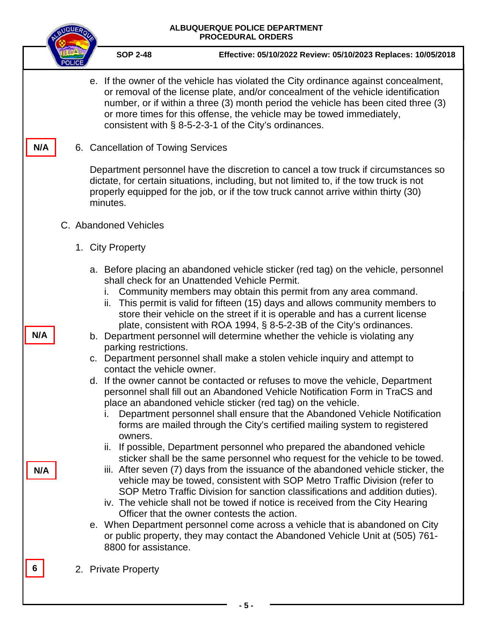|     | ALBUQUERQUE POLICE DEPARTMENT<br><b>PROCEDURAL ORDERS</b>                                                                                                                                                                                                                                                                                                                                                                                                                                                                                                                                                                                                                                                                                                                                                                                                                                                                                                                                                                                                                                  |
|-----|--------------------------------------------------------------------------------------------------------------------------------------------------------------------------------------------------------------------------------------------------------------------------------------------------------------------------------------------------------------------------------------------------------------------------------------------------------------------------------------------------------------------------------------------------------------------------------------------------------------------------------------------------------------------------------------------------------------------------------------------------------------------------------------------------------------------------------------------------------------------------------------------------------------------------------------------------------------------------------------------------------------------------------------------------------------------------------------------|
|     | <b>SOP 2-48</b><br>Effective: 05/10/2022 Review: 05/10/2023 Replaces: 10/05/2018                                                                                                                                                                                                                                                                                                                                                                                                                                                                                                                                                                                                                                                                                                                                                                                                                                                                                                                                                                                                           |
|     | e. If the owner of the vehicle has violated the City ordinance against concealment,<br>or removal of the license plate, and/or concealment of the vehicle identification<br>number, or if within a three (3) month period the vehicle has been cited three (3)<br>or more times for this offense, the vehicle may be towed immediately,<br>consistent with § 8-5-2-3-1 of the City's ordinances.                                                                                                                                                                                                                                                                                                                                                                                                                                                                                                                                                                                                                                                                                           |
| N/A | 6. Cancellation of Towing Services                                                                                                                                                                                                                                                                                                                                                                                                                                                                                                                                                                                                                                                                                                                                                                                                                                                                                                                                                                                                                                                         |
|     | Department personnel have the discretion to cancel a tow truck if circumstances so<br>dictate, for certain situations, including, but not limited to, if the tow truck is not<br>properly equipped for the job, or if the tow truck cannot arrive within thirty (30)<br>minutes.                                                                                                                                                                                                                                                                                                                                                                                                                                                                                                                                                                                                                                                                                                                                                                                                           |
|     | C. Abandoned Vehicles                                                                                                                                                                                                                                                                                                                                                                                                                                                                                                                                                                                                                                                                                                                                                                                                                                                                                                                                                                                                                                                                      |
|     | 1. City Property                                                                                                                                                                                                                                                                                                                                                                                                                                                                                                                                                                                                                                                                                                                                                                                                                                                                                                                                                                                                                                                                           |
| N/A | a. Before placing an abandoned vehicle sticker (red tag) on the vehicle, personnel<br>shall check for an Unattended Vehicle Permit.<br>Community members may obtain this permit from any area command.<br>İ.<br>ii. This permit is valid for fifteen (15) days and allows community members to<br>store their vehicle on the street if it is operable and has a current license<br>plate, consistent with ROA 1994, § 8-5-2-3B of the City's ordinances.<br>b. Department personnel will determine whether the vehicle is violating any<br>parking restrictions.<br>c. Department personnel shall make a stolen vehicle inquiry and attempt to<br>contact the vehicle owner.<br>d. If the owner cannot be contacted or refuses to move the vehicle, Department<br>personnel shall fill out an Abandoned Vehicle Notification Form in TraCS and<br>place an abandoned vehicle sticker (red tag) on the vehicle.<br>Department personnel shall ensure that the Abandoned Vehicle Notification<br>۱.<br>forms are mailed through the City's certified mailing system to registered<br>owners. |
| N/A | ii. If possible, Department personnel who prepared the abandoned vehicle<br>sticker shall be the same personnel who request for the vehicle to be towed.<br>iii. After seven (7) days from the issuance of the abandoned vehicle sticker, the<br>vehicle may be towed, consistent with SOP Metro Traffic Division (refer to<br>SOP Metro Traffic Division for sanction classifications and addition duties).<br>iv. The vehicle shall not be towed if notice is received from the City Hearing<br>Officer that the owner contests the action.<br>e. When Department personnel come across a vehicle that is abandoned on City<br>or public property, they may contact the Abandoned Vehicle Unit at (505) 761-<br>8800 for assistance.                                                                                                                                                                                                                                                                                                                                                     |
| 6   | 2. Private Property                                                                                                                                                                                                                                                                                                                                                                                                                                                                                                                                                                                                                                                                                                                                                                                                                                                                                                                                                                                                                                                                        |